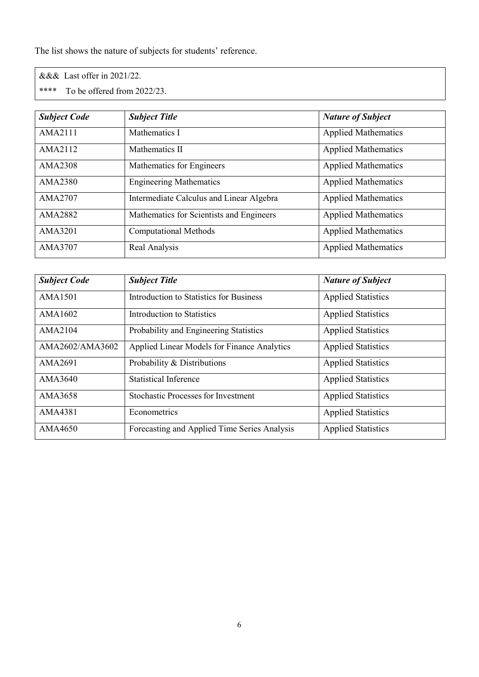The list shows the nature of subjects for students' reference.

&&& Last offer in 2021/22.

\*\*\*\* To be offered from 2022/23.

| <b>Subject Code</b> | <b>Subject Title</b>                     | <b>Nature of Subject</b>   |
|---------------------|------------------------------------------|----------------------------|
| AMA2111             | Mathematics I                            | <b>Applied Mathematics</b> |
| AMA2112             | Mathematics II                           | <b>Applied Mathematics</b> |
| AMA2308             | Mathematics for Engineers                | <b>Applied Mathematics</b> |
| AMA2380             | <b>Engineering Mathematics</b>           | <b>Applied Mathematics</b> |
| AMA2707             | Intermediate Calculus and Linear Algebra | <b>Applied Mathematics</b> |
| AMA2882             | Mathematics for Scientists and Engineers | <b>Applied Mathematics</b> |
| AMA3201             | <b>Computational Methods</b>             | <b>Applied Mathematics</b> |
| AMA3707             | Real Analysis                            | <b>Applied Mathematics</b> |

| <b>Subject Code</b> | <b>Subject Title</b>                           | <b>Nature of Subject</b>  |
|---------------------|------------------------------------------------|---------------------------|
| AMA1501             | <b>Introduction to Statistics for Business</b> | <b>Applied Statistics</b> |
| AMA1602             | <b>Introduction to Statistics</b>              | <b>Applied Statistics</b> |
| AMA2104             | Probability and Engineering Statistics         | <b>Applied Statistics</b> |
| AMA2602/AMA3602     | Applied Linear Models for Finance Analytics    | <b>Applied Statistics</b> |
| AMA2691             | Probability & Distributions                    | <b>Applied Statistics</b> |
| AMA3640             | <b>Statistical Inference</b>                   | <b>Applied Statistics</b> |
| AMA3658             | <b>Stochastic Processes for Investment</b>     | <b>Applied Statistics</b> |
| AMA4381             | Econometrics                                   | <b>Applied Statistics</b> |
| AMA4650             | Forecasting and Applied Time Series Analysis   | <b>Applied Statistics</b> |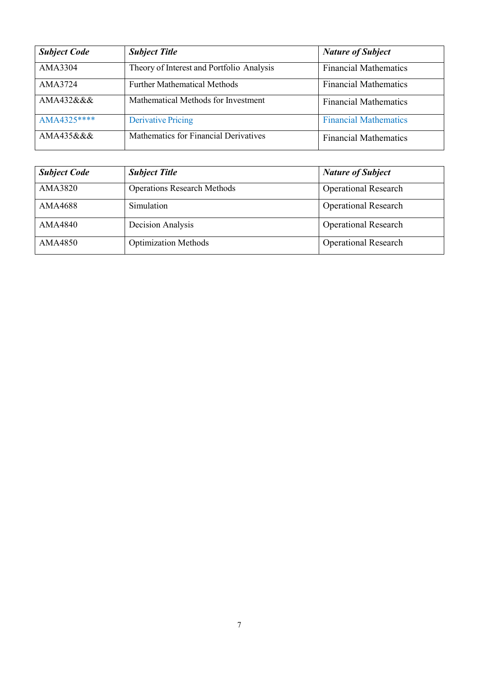| <b>Subject Code</b> | <b>Subject Title</b>                      | <b>Nature of Subject</b>     |
|---------------------|-------------------------------------------|------------------------------|
| AMA3304             | Theory of Interest and Portfolio Analysis | <b>Financial Mathematics</b> |
| AMA3724             | <b>Further Mathematical Methods</b>       | <b>Financial Mathematics</b> |
| AMA432&&&           | Mathematical Methods for Investment       | <b>Financial Mathematics</b> |
| AMA4325****         | <b>Derivative Pricing</b>                 | <b>Financial Mathematics</b> |
| AMA435&&&           | Mathematics for Financial Derivatives     | <b>Financial Mathematics</b> |

| <b>Subject Code</b> | <b>Subject Title</b>               | <b>Nature of Subject</b>    |
|---------------------|------------------------------------|-----------------------------|
| AMA3820             | <b>Operations Research Methods</b> | <b>Operational Research</b> |
| AMA4688             | Simulation                         | <b>Operational Research</b> |
| AMA4840             | Decision Analysis                  | <b>Operational Research</b> |
| AMA4850             | <b>Optimization Methods</b>        | <b>Operational Research</b> |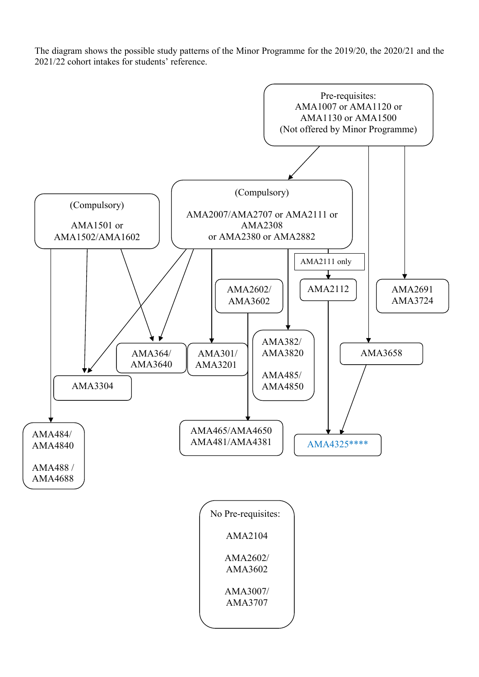The diagram shows the possible study patterns of the Minor Programme for the 2019/20, the 2020/21 and the 2021/22 cohort intakes for students' reference.